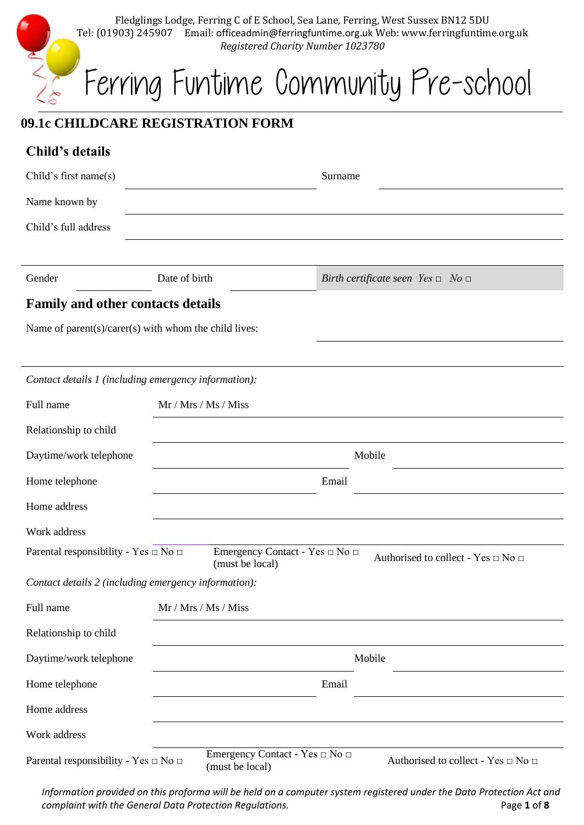| Fledglings Lodge, Ferring C of E School, Sea Lane, Ferring, West Sussex BN12 5DU<br>Email: officeadmin@ferringfuntime.org.uk Web: www.ferringfuntime.org.uk<br>Tel: (01903) 245907<br>Registered Charity Number 1023780 |                                      |  |  |
|-------------------------------------------------------------------------------------------------------------------------------------------------------------------------------------------------------------------------|--------------------------------------|--|--|
|                                                                                                                                                                                                                         | Ferring Funtime Community Pre-school |  |  |

# **09.1c CHILDCARE REGISTRATION FORM**

| Child's details                                       |                                                   |                                              |  |
|-------------------------------------------------------|---------------------------------------------------|----------------------------------------------|--|
| Child's first name(s)                                 |                                                   | Surname                                      |  |
| Name known by                                         |                                                   |                                              |  |
| Child's full address                                  |                                                   |                                              |  |
|                                                       |                                                   |                                              |  |
| Gender                                                | Date of birth                                     | Birth certificate seen Yes $\Box$ No $\Box$  |  |
| <b>Family and other contacts details</b>              |                                                   |                                              |  |
| Name of parent(s)/carer(s) with whom the child lives: |                                                   |                                              |  |
|                                                       |                                                   |                                              |  |
| Contact details 1 (including emergency information):  |                                                   |                                              |  |
| Full name                                             | Mr / Mrs / Ms / Miss                              |                                              |  |
| Relationship to child                                 |                                                   |                                              |  |
| Daytime/work telephone                                | Mobile                                            |                                              |  |
| Home telephone                                        |                                                   | Email                                        |  |
| Home address                                          |                                                   |                                              |  |
| Work address                                          |                                                   |                                              |  |
| Parental responsibility - Yes $\Box$ No $\Box$        | Emergency Contact - Yes □ No □<br>(must be local) | Authorised to collect - Yes $\Box$ No $\Box$ |  |
| Contact details 2 (including emergency information):  |                                                   |                                              |  |
| Full name                                             | Mr / Mrs / Ms / Miss                              |                                              |  |
| Relationship to child                                 |                                                   |                                              |  |
| Daytime/work telephone                                | Mobile                                            |                                              |  |
| Home telephone                                        | Email                                             |                                              |  |
| Home address                                          |                                                   |                                              |  |
| Work address                                          |                                                   |                                              |  |
| Parental responsibility - Yes □ No □                  | Emergency Contact - Yes □ No □<br>(must be local) | Authorised to collect - Yes $\Box$ No $\Box$ |  |

*Information provided on this proforma will be held on a computer system registered under the Data Protection Act and complaint with the General Data Protection Regulations.* Page 1 of 8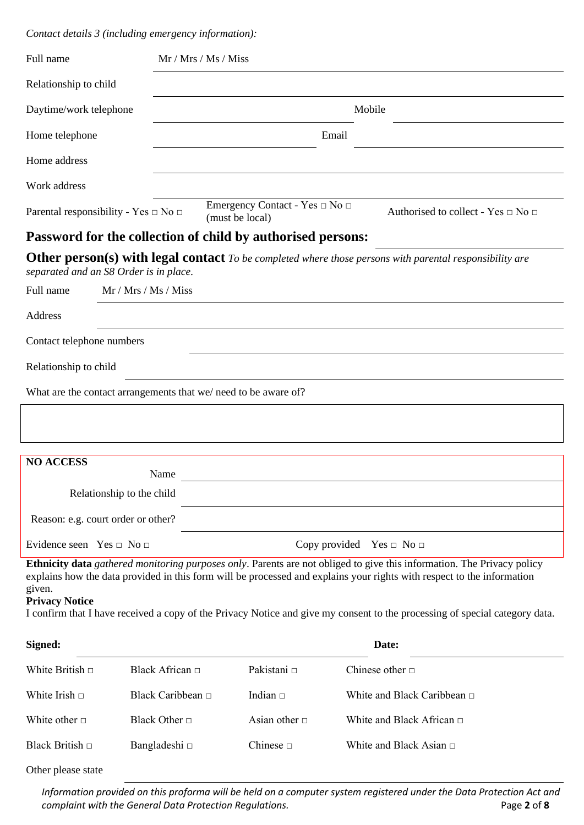*Contact details 3 (including emergency information):*

| Full name                          |                                                | Mr / Mrs / Ms / Miss                                           |                                    |                                                                                                                                                                                                                                                                                                                                                                                 |
|------------------------------------|------------------------------------------------|----------------------------------------------------------------|------------------------------------|---------------------------------------------------------------------------------------------------------------------------------------------------------------------------------------------------------------------------------------------------------------------------------------------------------------------------------------------------------------------------------|
| Relationship to child              |                                                |                                                                |                                    |                                                                                                                                                                                                                                                                                                                                                                                 |
| Daytime/work telephone             |                                                |                                                                |                                    | Mobile                                                                                                                                                                                                                                                                                                                                                                          |
| Home telephone                     |                                                |                                                                | Email                              |                                                                                                                                                                                                                                                                                                                                                                                 |
| Home address                       |                                                |                                                                |                                    |                                                                                                                                                                                                                                                                                                                                                                                 |
| Work address                       |                                                |                                                                |                                    |                                                                                                                                                                                                                                                                                                                                                                                 |
|                                    | Parental responsibility - Yes $\Box$ No $\Box$ | Emergency Contact - Yes $\Box$ No $\Box$<br>(must be local)    |                                    | Authorised to collect - Yes $\Box$ No $\Box$                                                                                                                                                                                                                                                                                                                                    |
|                                    |                                                | Password for the collection of child by authorised persons:    |                                    |                                                                                                                                                                                                                                                                                                                                                                                 |
|                                    | separated and an S8 Order is in place.         |                                                                |                                    | Other person(s) with legal contact To be completed where those persons with parental responsibility are                                                                                                                                                                                                                                                                         |
| Full name                          | Mr / Mrs / Ms / Miss                           |                                                                |                                    |                                                                                                                                                                                                                                                                                                                                                                                 |
| Address                            |                                                |                                                                |                                    |                                                                                                                                                                                                                                                                                                                                                                                 |
| Contact telephone numbers          |                                                |                                                                |                                    |                                                                                                                                                                                                                                                                                                                                                                                 |
| Relationship to child              |                                                |                                                                |                                    |                                                                                                                                                                                                                                                                                                                                                                                 |
|                                    |                                                | What are the contact arrangements that we/need to be aware of? |                                    |                                                                                                                                                                                                                                                                                                                                                                                 |
|                                    |                                                |                                                                |                                    |                                                                                                                                                                                                                                                                                                                                                                                 |
|                                    |                                                |                                                                |                                    |                                                                                                                                                                                                                                                                                                                                                                                 |
| <b>NO ACCESS</b>                   |                                                |                                                                |                                    |                                                                                                                                                                                                                                                                                                                                                                                 |
|                                    | Name<br>Relationship to the child              |                                                                |                                    |                                                                                                                                                                                                                                                                                                                                                                                 |
|                                    |                                                |                                                                |                                    |                                                                                                                                                                                                                                                                                                                                                                                 |
|                                    | Reason: e.g. court order or other?             |                                                                |                                    |                                                                                                                                                                                                                                                                                                                                                                                 |
| Evidence seen Yes $\Box$ No $\Box$ |                                                |                                                                | Copy provided Yes $\Box$ No $\Box$ |                                                                                                                                                                                                                                                                                                                                                                                 |
| given.<br><b>Privacy Notice</b>    |                                                |                                                                |                                    | Ethnicity data gathered monitoring purposes only. Parents are not obliged to give this information. The Privacy policy<br>explains how the data provided in this form will be processed and explains your rights with respect to the information<br>I confirm that I have received a copy of the Privacy Notice and give my consent to the processing of special category data. |
| Signed:                            |                                                |                                                                |                                    | Date:                                                                                                                                                                                                                                                                                                                                                                           |
| White British $\Box$               | Black African □                                | Pakistani □                                                    |                                    | Chinese other $\Box$                                                                                                                                                                                                                                                                                                                                                            |
| White Irish $\Box$                 | Black Caribbean □                              | Indian $\Box$                                                  |                                    | White and Black Caribbean $\Box$                                                                                                                                                                                                                                                                                                                                                |

White other □ Black Other □ Asian other □ White and Black African □

Black British □ Bangladeshi □ Chinese □ White and Black Asian □

Other please state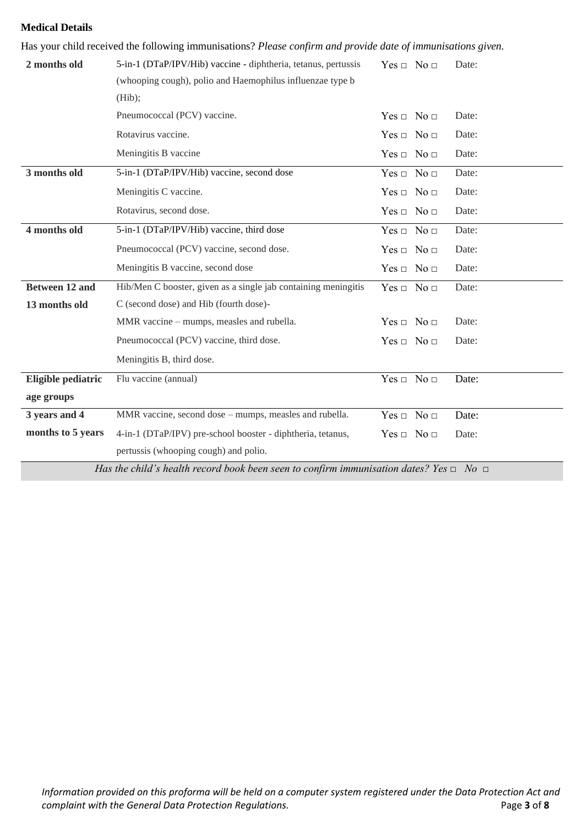# **Medical Details**

| Has your child received the following immunisations? Please confirm and provide date of immunisations given. |                                                                |                          |       |
|--------------------------------------------------------------------------------------------------------------|----------------------------------------------------------------|--------------------------|-------|
| 2 months old                                                                                                 | 5-in-1 (DTaP/IPV/Hib) vaccine - diphtheria, tetanus, pertussis | $Yes \Box No \Box$       | Date: |
|                                                                                                              | (whooping cough), polio and Haemophilus influenzae type b      |                          |       |
|                                                                                                              | (Hib);                                                         |                          |       |
|                                                                                                              | Pneumococcal (PCV) vaccine.                                    | $Yes \Box No \Box$       | Date: |
|                                                                                                              | Rotavirus vaccine.                                             | $Yes \Box No \Box$       | Date: |
|                                                                                                              | Meningitis B vaccine                                           | $Yes \Box No \Box$       | Date: |
| 3 months old                                                                                                 | 5-in-1 (DTaP/IPV/Hib) vaccine, second dose                     | $Yes \Box No \Box$       | Date: |
|                                                                                                              | Meningitis C vaccine.                                          | $Yes \Box No \Box$       | Date: |
|                                                                                                              | Rotavirus, second dose.                                        | $Yes \Box No \Box$       | Date: |
| 4 months old                                                                                                 | 5-in-1 (DTaP/IPV/Hib) vaccine, third dose                      | $Yes \Box No \Box$       | Date: |
|                                                                                                              | Pneumococcal (PCV) vaccine, second dose.                       | $Yes \Box No \Box$       | Date: |
|                                                                                                              | Meningitis B vaccine, second dose                              | $Yes \Box No \Box$       | Date: |
| <b>Between 12 and</b>                                                                                        | Hib/Men C booster, given as a single jab containing meningitis | $Yes \Box No \Box$       | Date: |
| 13 months old                                                                                                | C (second dose) and Hib (fourth dose)-                         |                          |       |
|                                                                                                              | MMR vaccine – mumps, measles and rubella.                      | $Yes \Box No \Box$       | Date: |
|                                                                                                              | Pneumococcal (PCV) vaccine, third dose.                        | $Yes \Box No \Box$       | Date: |
|                                                                                                              | Meningitis B, third dose.                                      |                          |       |
| Eligible pediatric                                                                                           | Flu vaccine (annual)                                           | $Yes \Box No \Box$       | Date: |
| age groups                                                                                                   |                                                                |                          |       |
| 3 years and 4                                                                                                | MMR vaccine, second dose – mumps, measles and rubella.         | No <sub>□</sub><br>Yes ⊡ | Date: |
| months to 5 years                                                                                            | 4-in-1 (DTaP/IPV) pre-school booster - diphtheria, tetanus,    | $Yes \Box No \Box$       | Date: |
|                                                                                                              | pertussis (whooping cough) and polio.                          |                          |       |

*Has the child's health record book been seen to confirm immunisation dates? Yes □ No □*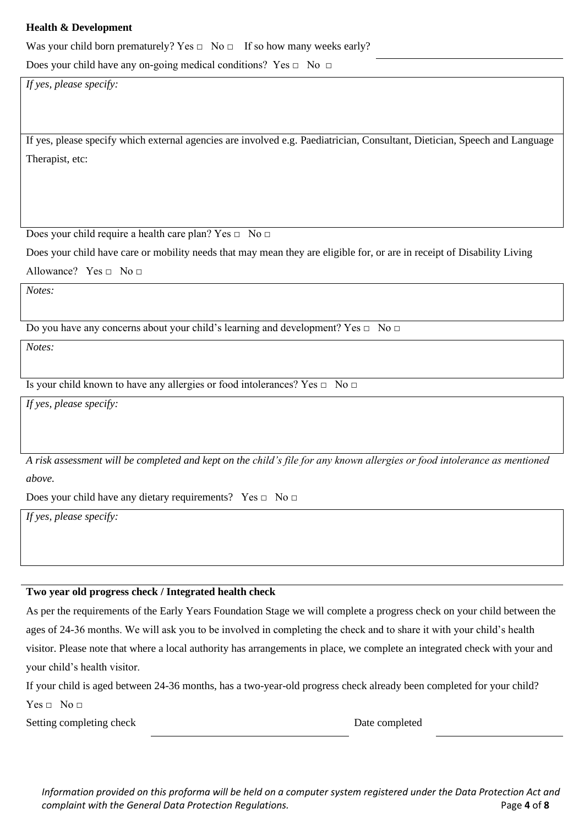# **Health & Development**

Was your child born prematurely? Yes  $\Box$  No  $\Box$  If so how many weeks early?

Does your child have any on-going medical conditions? Yes  $\Box$  No  $\Box$ 

*If yes, please specify:*

If yes, please specify which external agencies are involved e.g. Paediatrician, Consultant, Dietician, Speech and Language Therapist, etc:

Does your child require a health care plan? Yes □ No □

Does your child have care or mobility needs that may mean they are eligible for, or are in receipt of Disability Living

Allowance? Yes  $\Box$  No  $\Box$ 

*Notes:*

Do you have any concerns about your child's learning and development? Yes  $\Box$  No  $\Box$ 

*Notes:*

Is your child known to have any allergies or food intolerances? Yes  $\Box$  No  $\Box$ 

*If yes, please specify:*

*A risk assessment will be completed and kept on the child's file for any known allergies or food intolerance as mentioned above.*

Does your child have any dietary requirements? Yes □ No □

*If yes, please specify:*

#### **Two year old progress check / Integrated health check**

As per the requirements of the Early Years Foundation Stage we will complete a progress check on your child between the ages of 24-36 months. We will ask you to be involved in completing the check and to share it with your child's health visitor. Please note that where a local authority has arrangements in place, we complete an integrated check with your and your child's health visitor.

If your child is aged between 24-36 months, has a two-year-old progress check already been completed for your child?

 $Yes \Box No \Box$ 

Setting completing check Date completing check Date completed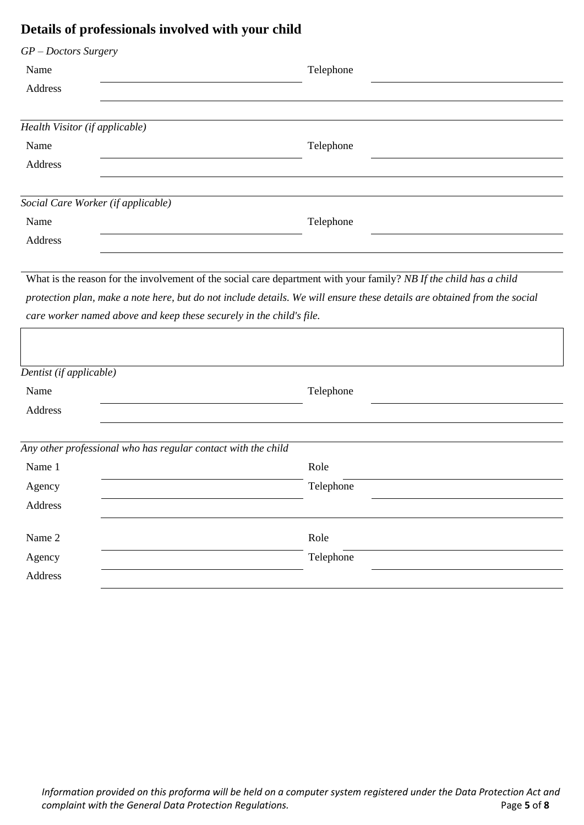# **Details of professionals involved with your child**

| $GP - Doctors$ Surgery<br>Name                                       | Telephone                                                                                                                |
|----------------------------------------------------------------------|--------------------------------------------------------------------------------------------------------------------------|
| Address                                                              |                                                                                                                          |
|                                                                      |                                                                                                                          |
| Health Visitor (if applicable)                                       |                                                                                                                          |
| Name                                                                 | Telephone                                                                                                                |
| Address                                                              |                                                                                                                          |
| Social Care Worker (if applicable)                                   |                                                                                                                          |
| Name                                                                 | Telephone                                                                                                                |
| Address                                                              |                                                                                                                          |
|                                                                      |                                                                                                                          |
|                                                                      | What is the reason for the involvement of the social care department with your family? NB If the child has a child       |
|                                                                      | protection plan, make a note here, but do not include details. We will ensure these details are obtained from the social |
| care worker named above and keep these securely in the child's file. |                                                                                                                          |
|                                                                      |                                                                                                                          |
| Dentist (if applicable)                                              |                                                                                                                          |
| Name                                                                 | Telephone                                                                                                                |
| Address                                                              |                                                                                                                          |
|                                                                      |                                                                                                                          |
| Any other professional who has regular contact with the child        |                                                                                                                          |
| Name 1                                                               | Role                                                                                                                     |
| Agency                                                               | Telephone                                                                                                                |
| Address                                                              |                                                                                                                          |
| Name 2                                                               | Role                                                                                                                     |
| Agency                                                               | Telephone                                                                                                                |
| Address                                                              |                                                                                                                          |
|                                                                      |                                                                                                                          |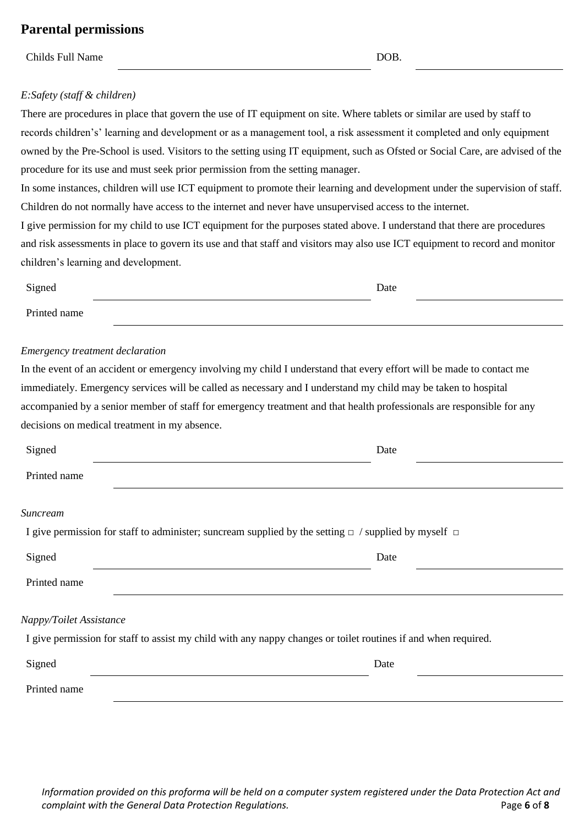# **Parental permissions**

Childs Full Name DOB.

## *E:Safety (staff & children)*

There are procedures in place that govern the use of IT equipment on site. Where tablets or similar are used by staff to records children's' learning and development or as a management tool, a risk assessment it completed and only equipment owned by the Pre-School is used. Visitors to the setting using IT equipment, such as Ofsted or Social Care, are advised of the procedure for its use and must seek prior permission from the setting manager.

In some instances, children will use ICT equipment to promote their learning and development under the supervision of staff. Children do not normally have access to the internet and never have unsupervised access to the internet.

I give permission for my child to use ICT equipment for the purposes stated above. I understand that there are procedures and risk assessments in place to govern its use and that staff and visitors may also use ICT equipment to record and monitor children's learning and development.

| Signed       | Date |  |
|--------------|------|--|
| Printed name |      |  |

#### *Emergency treatment declaration*

In the event of an accident or emergency involving my child I understand that every effort will be made to contact me immediately. Emergency services will be called as necessary and I understand my child may be taken to hospital accompanied by a senior member of staff for emergency treatment and that health professionals are responsible for any decisions on medical treatment in my absence.

| Signed                                                                                                                                    | Date |
|-------------------------------------------------------------------------------------------------------------------------------------------|------|
| Printed name                                                                                                                              |      |
| Suncream                                                                                                                                  |      |
| I give permission for staff to administer; suncream supplied by the setting $\Box$ / supplied by myself $\Box$                            |      |
| Signed                                                                                                                                    | Date |
| Printed name                                                                                                                              |      |
| Nappy/Toilet Assistance<br>I give permission for staff to assist my child with any nappy changes or toilet routines if and when required. |      |
| Signed                                                                                                                                    | Date |
| Printed name                                                                                                                              |      |

*Information provided on this proforma will be held on a computer system registered under the Data Protection Act and complaint with the General Data Protection Regulations.* Page **6** of **8**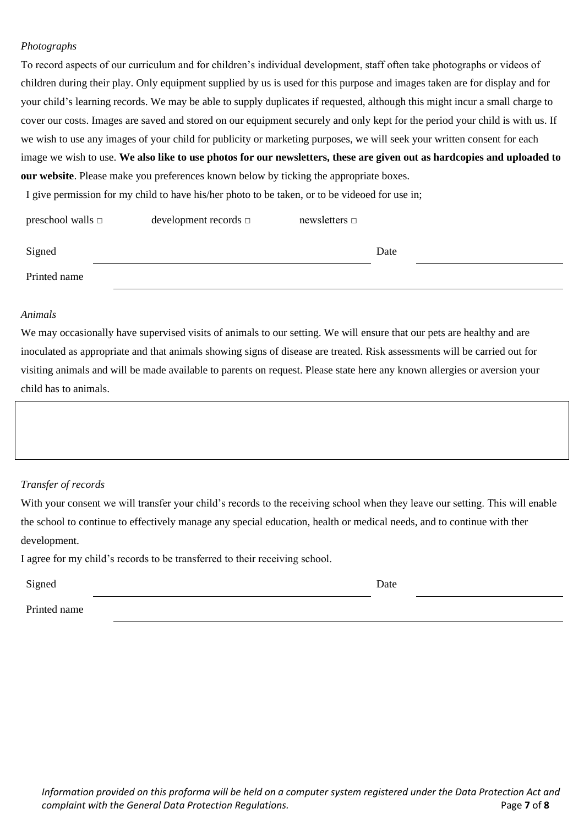## *Photographs*

To record aspects of our curriculum and for children's individual development, staff often take photographs or videos of children during their play. Only equipment supplied by us is used for this purpose and images taken are for display and for your child's learning records. We may be able to supply duplicates if requested, although this might incur a small charge to cover our costs. Images are saved and stored on our equipment securely and only kept for the period your child is with us. If we wish to use any images of your child for publicity or marketing purposes, we will seek your written consent for each image we wish to use. **We also like to use photos for our newsletters, these are given out as hardcopies and uploaded to our website**. Please make you preferences known below by ticking the appropriate boxes.

I give permission for my child to have his/her photo to be taken, or to be videoed for use in;

| preschool walls $\Box$ | development records $\square$ | newsletters $\Box$ |      |
|------------------------|-------------------------------|--------------------|------|
|                        |                               |                    |      |
| Signed                 |                               |                    | Date |
| Printed name           |                               |                    |      |

#### *Animals*

We may occasionally have supervised visits of animals to our setting. We will ensure that our pets are healthy and are inoculated as appropriate and that animals showing signs of disease are treated. Risk assessments will be carried out for visiting animals and will be made available to parents on request. Please state here any known allergies or aversion your child has to animals.

#### *Transfer of records*

With your consent we will transfer your child's records to the receiving school when they leave our setting. This will enable the school to continue to effectively manage any special education, health or medical needs, and to continue with ther development.

I agree for my child's records to be transferred to their receiving school.

| Date |
|------|
|      |

Printed name